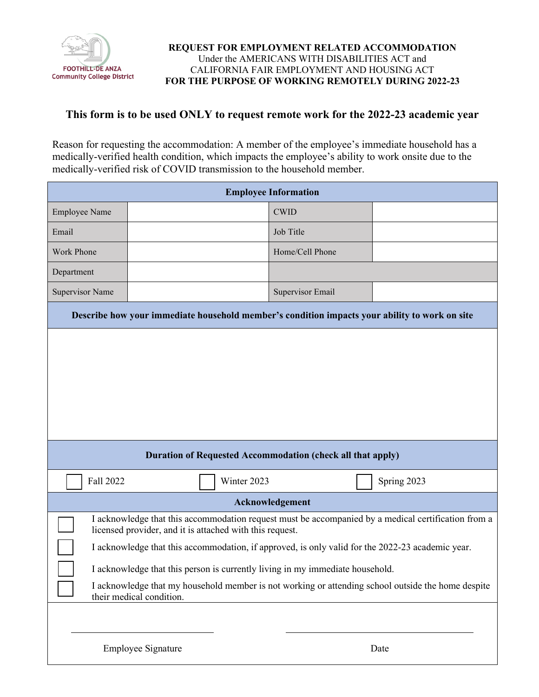

## **REQUEST FOR EMPLOYMENT RELATED ACCOMMODATION** Under the AMERICANS WITH DISABILITIES ACT and CALIFORNIA FAIR EMPLOYMENT AND HOUSING ACT **FOR THE PURPOSE OF WORKING REMOTELY DURING 2022-23**

## **This form is to be used ONLY to request remote work for the 2022-23 academic year**

Reason for requesting the accommodation: A member of the employee's immediate household has a medically-verified health condition, which impacts the employee's ability to work onsite due to the medically-verified risk of COVID transmission to the household member.

| <b>Employee Information</b>                                                                                                                                                                                                                                                                                                                                                                                                                                                            |  |             |                  |  |             |  |  |
|----------------------------------------------------------------------------------------------------------------------------------------------------------------------------------------------------------------------------------------------------------------------------------------------------------------------------------------------------------------------------------------------------------------------------------------------------------------------------------------|--|-------------|------------------|--|-------------|--|--|
| <b>Employee Name</b>                                                                                                                                                                                                                                                                                                                                                                                                                                                                   |  |             | <b>CWID</b>      |  |             |  |  |
| Email                                                                                                                                                                                                                                                                                                                                                                                                                                                                                  |  |             | Job Title        |  |             |  |  |
| Work Phone                                                                                                                                                                                                                                                                                                                                                                                                                                                                             |  |             | Home/Cell Phone  |  |             |  |  |
| Department                                                                                                                                                                                                                                                                                                                                                                                                                                                                             |  |             |                  |  |             |  |  |
| <b>Supervisor Name</b>                                                                                                                                                                                                                                                                                                                                                                                                                                                                 |  |             | Supervisor Email |  |             |  |  |
| Describe how your immediate household member's condition impacts your ability to work on site                                                                                                                                                                                                                                                                                                                                                                                          |  |             |                  |  |             |  |  |
|                                                                                                                                                                                                                                                                                                                                                                                                                                                                                        |  |             |                  |  |             |  |  |
| <b>Duration of Requested Accommodation (check all that apply)</b>                                                                                                                                                                                                                                                                                                                                                                                                                      |  |             |                  |  |             |  |  |
| Fall 2022                                                                                                                                                                                                                                                                                                                                                                                                                                                                              |  | Winter 2023 |                  |  | Spring 2023 |  |  |
| Acknowledgement                                                                                                                                                                                                                                                                                                                                                                                                                                                                        |  |             |                  |  |             |  |  |
| I acknowledge that this accommodation request must be accompanied by a medical certification from a<br>licensed provider, and it is attached with this request.<br>I acknowledge that this accommodation, if approved, is only valid for the 2022-23 academic year.<br>I acknowledge that this person is currently living in my immediate household.<br>I acknowledge that my household member is not working or attending school outside the home despite<br>their medical condition. |  |             |                  |  |             |  |  |
| Employee Signature                                                                                                                                                                                                                                                                                                                                                                                                                                                                     |  | Date        |                  |  |             |  |  |